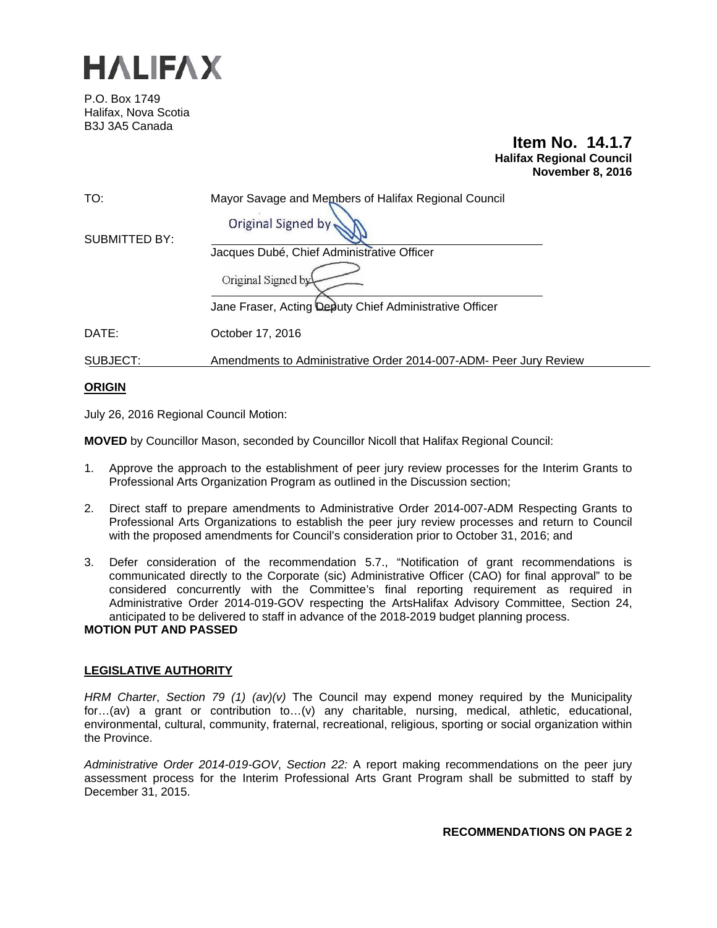

P.O. Box 1749 Halifax, Nova Scotia B3J 3A5 Canada

# **Item No. 14.1.7 Halifax Regional Council November 8, 2016**

| TO:           | Mayor Savage and Members of Halifax Regional Council<br>Original Signed by |
|---------------|----------------------------------------------------------------------------|
| SUBMITTED BY: | Jacques Dubé, Chief Administrative Officer                                 |
|               | Original Signed by                                                         |
|               | Jane Fraser, Acting Deputy Chief Administrative Officer                    |
| DATE:         | October 17, 2016                                                           |
| SUBJECT:      | Amendments to Administrative Order 2014-007-ADM- Peer Jury Review          |

# **ORIGIN**

July 26, 2016 Regional Council Motion:

**MOVED** by Councillor Mason, seconded by Councillor Nicoll that Halifax Regional Council:

- 1. Approve the approach to the establishment of peer jury review processes for the Interim Grants to Professional Arts Organization Program as outlined in the Discussion section;
- 2. Direct staff to prepare amendments to Administrative Order 2014-007-ADM Respecting Grants to Professional Arts Organizations to establish the peer jury review processes and return to Council with the proposed amendments for Council's consideration prior to October 31, 2016; and
- 3. Defer consideration of the recommendation 5.7., "Notification of grant recommendations is communicated directly to the Corporate (sic) Administrative Officer (CAO) for final approval" to be considered concurrently with the Committee's final reporting requirement as required in Administrative Order 2014-019-GOV respecting the ArtsHalifax Advisory Committee, Section 24, anticipated to be delivered to staff in advance of the 2018-2019 budget planning process.

# **MOTION PUT AND PASSED**

## **LEGISLATIVE AUTHORITY**

*HRM Charter*, *Section 79 (1) (av)(v)* The Council may expend money required by the Municipality for…(av) a grant or contribution to…(v) any charitable, nursing, medical, athletic, educational, environmental, cultural, community, fraternal, recreational, religious, sporting or social organization within the Province.

*Administrative Order 2014-019-GOV*, *Section 22:* A report making recommendations on the peer jury assessment process for the Interim Professional Arts Grant Program shall be submitted to staff by December 31, 2015.

**RECOMMENDATIONS ON PAGE 2**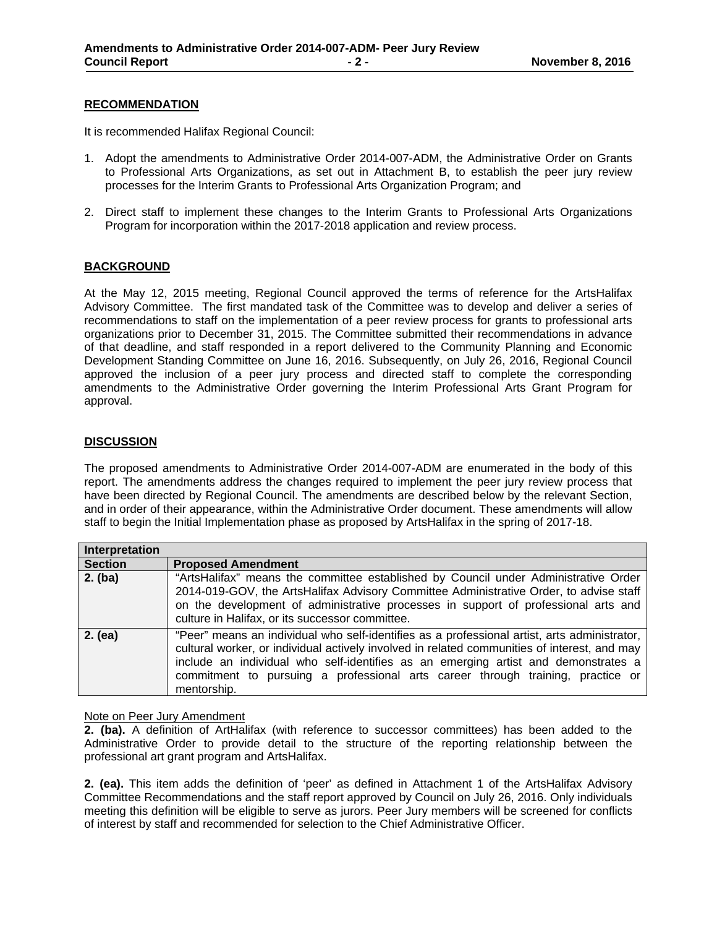#### **RECOMMENDATION**

It is recommended Halifax Regional Council:

- 1. Adopt the amendments to Administrative Order 2014-007-ADM, the Administrative Order on Grants to Professional Arts Organizations, as set out in Attachment B, to establish the peer jury review processes for the Interim Grants to Professional Arts Organization Program; and
- 2. Direct staff to implement these changes to the Interim Grants to Professional Arts Organizations Program for incorporation within the 2017-2018 application and review process.

## **BACKGROUND**

At the May 12, 2015 meeting, Regional Council approved the terms of reference for the ArtsHalifax Advisory Committee. The first mandated task of the Committee was to develop and deliver a series of recommendations to staff on the implementation of a peer review process for grants to professional arts organizations prior to December 31, 2015. The Committee submitted their recommendations in advance of that deadline, and staff responded in a report delivered to the Community Planning and Economic Development Standing Committee on June 16, 2016. Subsequently, on July 26, 2016, Regional Council approved the inclusion of a peer jury process and directed staff to complete the corresponding amendments to the Administrative Order governing the Interim Professional Arts Grant Program for approval.

## **DISCUSSION**

The proposed amendments to Administrative Order 2014-007-ADM are enumerated in the body of this report. The amendments address the changes required to implement the peer jury review process that have been directed by Regional Council. The amendments are described below by the relevant Section, and in order of their appearance, within the Administrative Order document. These amendments will allow staff to begin the Initial Implementation phase as proposed by ArtsHalifax in the spring of 2017-18.

| Interpretation |                                                                                                                                                                                                                                                                                                                                                                                      |
|----------------|--------------------------------------------------------------------------------------------------------------------------------------------------------------------------------------------------------------------------------------------------------------------------------------------------------------------------------------------------------------------------------------|
| <b>Section</b> | <b>Proposed Amendment</b>                                                                                                                                                                                                                                                                                                                                                            |
| $2.$ (ba)      | "ArtsHalifax" means the committee established by Council under Administrative Order<br>2014-019-GOV, the ArtsHalifax Advisory Committee Administrative Order, to advise staff<br>on the development of administrative processes in support of professional arts and<br>culture in Halifax, or its successor committee.                                                               |
| $2.$ (ea)      | "Peer" means an individual who self-identifies as a professional artist, arts administrator,<br>cultural worker, or individual actively involved in related communities of interest, and may<br>include an individual who self-identifies as an emerging artist and demonstrates a<br>commitment to pursuing a professional arts career through training, practice or<br>mentorship. |

#### Note on Peer Jury Amendment

**2. (ba).** A definition of ArtHalifax (with reference to successor committees) has been added to the Administrative Order to provide detail to the structure of the reporting relationship between the professional art grant program and ArtsHalifax.

**2. (ea).** This item adds the definition of 'peer' as defined in Attachment 1 of the ArtsHalifax Advisory Committee Recommendations and the staff report approved by Council on July 26, 2016. Only individuals meeting this definition will be eligible to serve as jurors. Peer Jury members will be screened for conflicts of interest by staff and recommended for selection to the Chief Administrative Officer.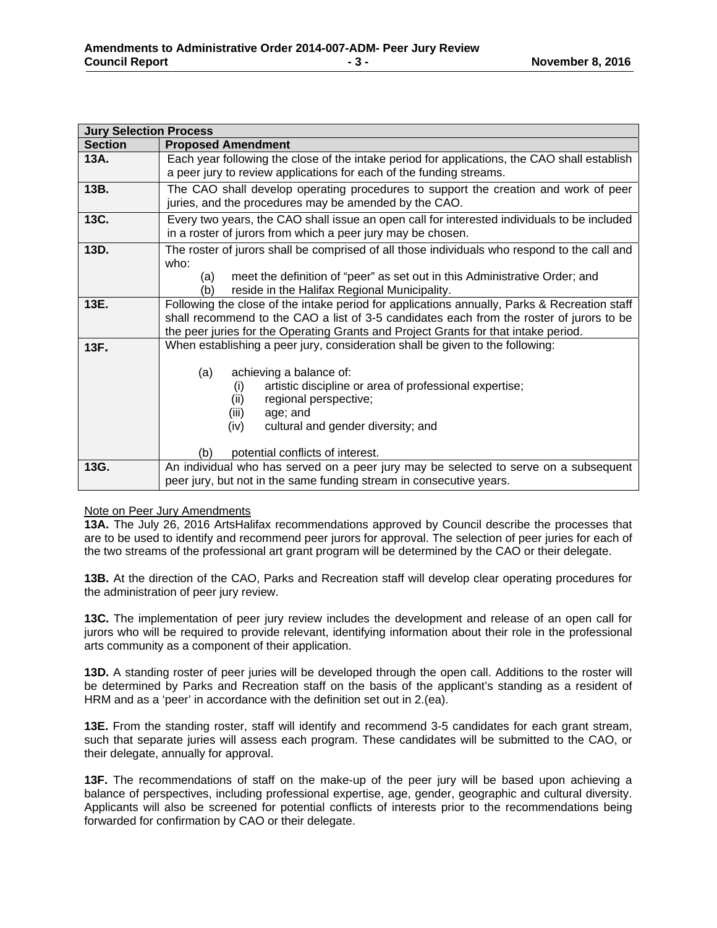| <b>Jury Selection Process</b> |                                                                                              |
|-------------------------------|----------------------------------------------------------------------------------------------|
| <b>Section</b>                | <b>Proposed Amendment</b>                                                                    |
| 13A.                          | Each year following the close of the intake period for applications, the CAO shall establish |
|                               | a peer jury to review applications for each of the funding streams.                          |
| 13B.                          | The CAO shall develop operating procedures to support the creation and work of peer          |
|                               | juries, and the procedures may be amended by the CAO.                                        |
| 13C.                          | Every two years, the CAO shall issue an open call for interested individuals to be included  |
|                               | in a roster of jurors from which a peer jury may be chosen.                                  |
| 13D.                          | The roster of jurors shall be comprised of all those individuals who respond to the call and |
|                               | who:                                                                                         |
|                               | meet the definition of "peer" as set out in this Administrative Order; and<br>(a)            |
|                               | reside in the Halifax Regional Municipality.<br>'b)                                          |
| 13E.                          | Following the close of the intake period for applications annually, Parks & Recreation staff |
|                               | shall recommend to the CAO a list of 3-5 candidates each from the roster of jurors to be     |
|                               | the peer juries for the Operating Grants and Project Grants for that intake period.          |
| 13F.                          | When establishing a peer jury, consideration shall be given to the following:                |
|                               |                                                                                              |
|                               | achieving a balance of:<br>(a)                                                               |
|                               | artistic discipline or area of professional expertise;<br>(i)                                |
|                               | regional perspective;<br>(ii)                                                                |
|                               | (iii)<br>age; and                                                                            |
|                               | cultural and gender diversity; and<br>(iv)                                                   |
|                               |                                                                                              |
|                               | potential conflicts of interest.<br>(b)                                                      |
| 13G.                          | An individual who has served on a peer jury may be selected to serve on a subsequent         |
|                               | peer jury, but not in the same funding stream in consecutive years.                          |

## Note on Peer Jury Amendments

**13A.** The July 26, 2016 ArtsHalifax recommendations approved by Council describe the processes that are to be used to identify and recommend peer jurors for approval. The selection of peer juries for each of the two streams of the professional art grant program will be determined by the CAO or their delegate.

**13B.** At the direction of the CAO, Parks and Recreation staff will develop clear operating procedures for the administration of peer jury review.

**13C.** The implementation of peer jury review includes the development and release of an open call for jurors who will be required to provide relevant, identifying information about their role in the professional arts community as a component of their application.

**13D.** A standing roster of peer juries will be developed through the open call. Additions to the roster will be determined by Parks and Recreation staff on the basis of the applicant's standing as a resident of HRM and as a 'peer' in accordance with the definition set out in 2.(ea).

**13E.** From the standing roster, staff will identify and recommend 3-5 candidates for each grant stream, such that separate juries will assess each program. These candidates will be submitted to the CAO, or their delegate, annually for approval.

**13F.** The recommendations of staff on the make-up of the peer jury will be based upon achieving a balance of perspectives, including professional expertise, age, gender, geographic and cultural diversity. Applicants will also be screened for potential conflicts of interests prior to the recommendations being forwarded for confirmation by CAO or their delegate.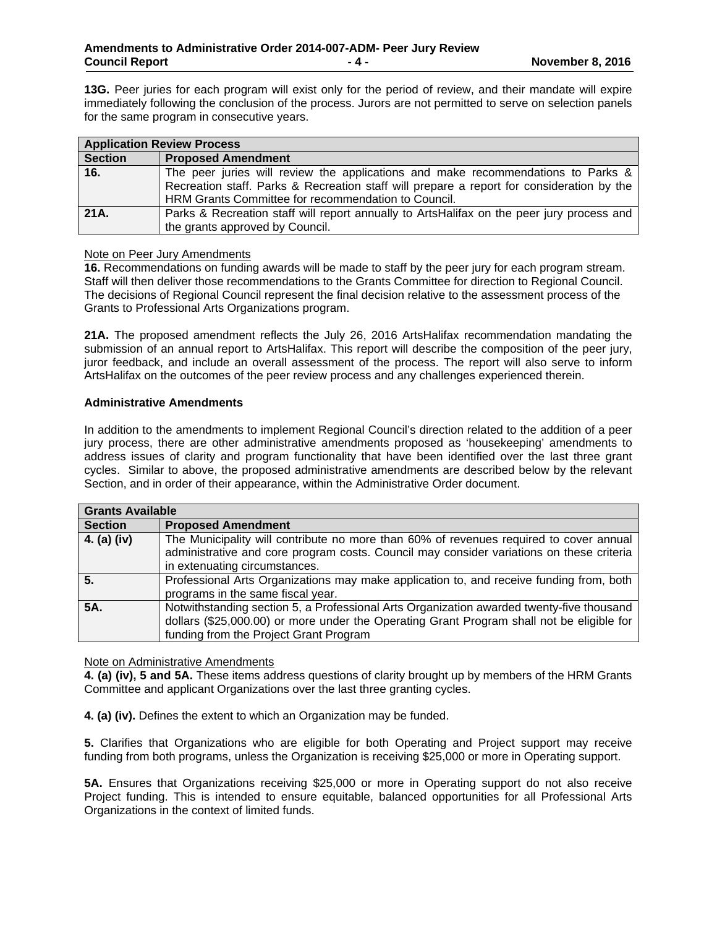**13G.** Peer juries for each program will exist only for the period of review, and their mandate will expire immediately following the conclusion of the process. Jurors are not permitted to serve on selection panels for the same program in consecutive years.

| <b>Application Review Process</b> |                                                                                                                                                                                                                                      |
|-----------------------------------|--------------------------------------------------------------------------------------------------------------------------------------------------------------------------------------------------------------------------------------|
| <b>Section</b>                    | <b>Proposed Amendment</b>                                                                                                                                                                                                            |
| 16.                               | The peer juries will review the applications and make recommendations to Parks &<br>Recreation staff. Parks & Recreation staff will prepare a report for consideration by the<br>HRM Grants Committee for recommendation to Council. |
| 21A.                              | Parks & Recreation staff will report annually to ArtsHalifax on the peer jury process and<br>the grants approved by Council.                                                                                                         |

## Note on Peer Jury Amendments

**16.** Recommendations on funding awards will be made to staff by the peer jury for each program stream. Staff will then deliver those recommendations to the Grants Committee for direction to Regional Council. The decisions of Regional Council represent the final decision relative to the assessment process of the Grants to Professional Arts Organizations program.

**21A.** The proposed amendment reflects the July 26, 2016 ArtsHalifax recommendation mandating the submission of an annual report to ArtsHalifax. This report will describe the composition of the peer jury, juror feedback, and include an overall assessment of the process. The report will also serve to inform ArtsHalifax on the outcomes of the peer review process and any challenges experienced therein.

## **Administrative Amendments**

In addition to the amendments to implement Regional Council's direction related to the addition of a peer jury process, there are other administrative amendments proposed as 'housekeeping' amendments to address issues of clarity and program functionality that have been identified over the last three grant cycles. Similar to above, the proposed administrative amendments are described below by the relevant Section, and in order of their appearance, within the Administrative Order document.

| <b>Grants Available</b> |                                                                                                                                                                                                                                 |
|-------------------------|---------------------------------------------------------------------------------------------------------------------------------------------------------------------------------------------------------------------------------|
| <b>Section</b>          | <b>Proposed Amendment</b>                                                                                                                                                                                                       |
| 4. (a) (iv)             | The Municipality will contribute no more than 60% of revenues required to cover annual<br>administrative and core program costs. Council may consider variations on these criteria<br>in extenuating circumstances.             |
| 5.                      | Professional Arts Organizations may make application to, and receive funding from, both<br>programs in the same fiscal year.                                                                                                    |
| 5A.                     | Notwithstanding section 5, a Professional Arts Organization awarded twenty-five thousand<br>dollars (\$25,000.00) or more under the Operating Grant Program shall not be eligible for<br>funding from the Project Grant Program |

## Note on Administrative Amendments

**4. (a) (iv), 5 and 5A.** These items address questions of clarity brought up by members of the HRM Grants Committee and applicant Organizations over the last three granting cycles.

**4. (a) (iv).** Defines the extent to which an Organization may be funded.

**5.** Clarifies that Organizations who are eligible for both Operating and Project support may receive funding from both programs, unless the Organization is receiving \$25,000 or more in Operating support.

**5A.** Ensures that Organizations receiving \$25,000 or more in Operating support do not also receive Project funding. This is intended to ensure equitable, balanced opportunities for all Professional Arts Organizations in the context of limited funds.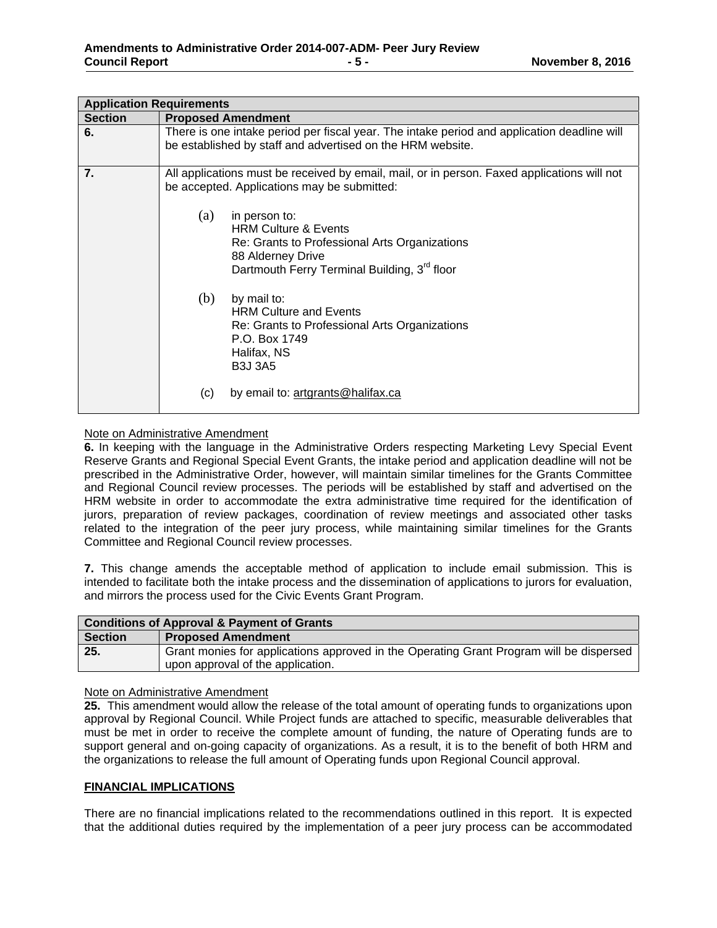| <b>Application Requirements</b> |                                                                                                                                                                                           |  |
|---------------------------------|-------------------------------------------------------------------------------------------------------------------------------------------------------------------------------------------|--|
| <b>Section</b>                  | <b>Proposed Amendment</b>                                                                                                                                                                 |  |
| 6.                              | There is one intake period per fiscal year. The intake period and application deadline will<br>be established by staff and advertised on the HRM website.                                 |  |
| 7.                              | All applications must be received by email, mail, or in person. Faxed applications will not<br>be accepted. Applications may be submitted:                                                |  |
|                                 | (a)<br>in person to:<br><b>HRM Culture &amp; Events</b><br>Re: Grants to Professional Arts Organizations<br>88 Alderney Drive<br>Dartmouth Ferry Terminal Building, 3 <sup>rd</sup> floor |  |
|                                 | (b)<br>by mail to:<br><b>HRM Culture and Events</b><br>Re: Grants to Professional Arts Organizations<br>P.O. Box 1749<br>Halifax, NS<br><b>B3J 3A5</b>                                    |  |
|                                 | by email to: artgrants@halifax.ca<br>(c)                                                                                                                                                  |  |

## Note on Administrative Amendment

**6.** In keeping with the language in the Administrative Orders respecting Marketing Levy Special Event Reserve Grants and Regional Special Event Grants, the intake period and application deadline will not be prescribed in the Administrative Order, however, will maintain similar timelines for the Grants Committee and Regional Council review processes. The periods will be established by staff and advertised on the HRM website in order to accommodate the extra administrative time required for the identification of jurors, preparation of review packages, coordination of review meetings and associated other tasks related to the integration of the peer jury process, while maintaining similar timelines for the Grants Committee and Regional Council review processes.

**7.** This change amends the acceptable method of application to include email submission. This is intended to facilitate both the intake process and the dissemination of applications to jurors for evaluation, and mirrors the process used for the Civic Events Grant Program.

| <b>Conditions of Approval &amp; Payment of Grants</b> |                                                                                                                              |
|-------------------------------------------------------|------------------------------------------------------------------------------------------------------------------------------|
| <b>Section</b>                                        | <b>Proposed Amendment</b>                                                                                                    |
| 25.                                                   | Grant monies for applications approved in the Operating Grant Program will be dispersed<br>upon approval of the application. |

#### Note on Administrative Amendment

**25.** This amendment would allow the release of the total amount of operating funds to organizations upon approval by Regional Council. While Project funds are attached to specific, measurable deliverables that must be met in order to receive the complete amount of funding, the nature of Operating funds are to support general and on-going capacity of organizations. As a result, it is to the benefit of both HRM and the organizations to release the full amount of Operating funds upon Regional Council approval.

#### **FINANCIAL IMPLICATIONS**

There are no financial implications related to the recommendations outlined in this report. It is expected that the additional duties required by the implementation of a peer jury process can be accommodated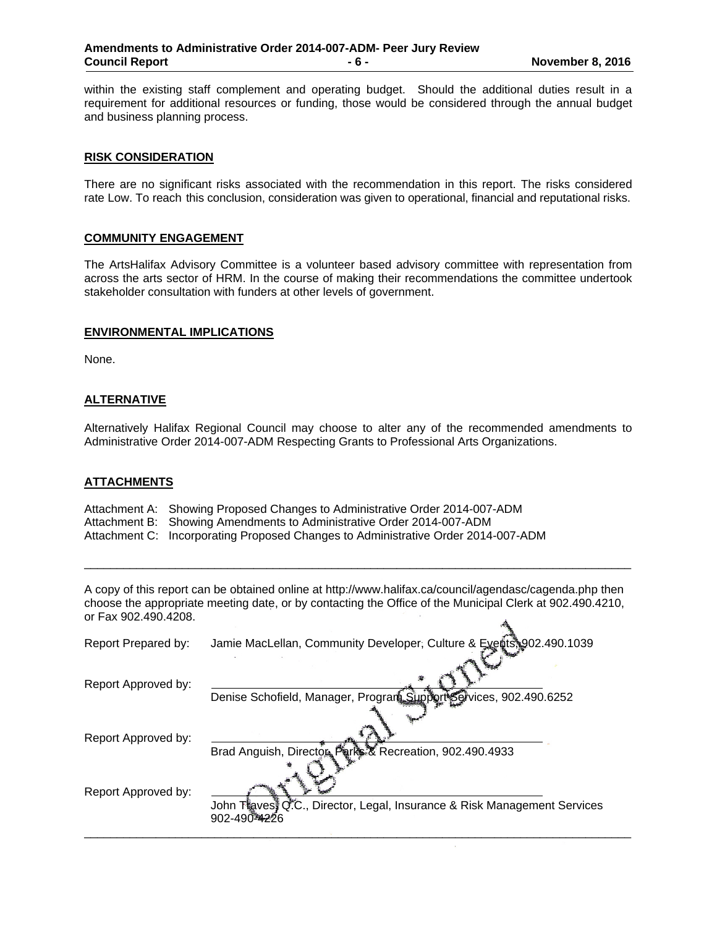within the existing staff complement and operating budget. Should the additional duties result in a requirement for additional resources or funding, those would be considered through the annual budget and business planning process.

## **RISK CONSIDERATION**

There are no significant risks associated with the recommendation in this report. The risks considered rate Low. To reach this conclusion, consideration was given to operational, financial and reputational risks.

#### **COMMUNITY ENGAGEMENT**

The ArtsHalifax Advisory Committee is a volunteer based advisory committee with representation from across the arts sector of HRM. In the course of making their recommendations the committee undertook stakeholder consultation with funders at other levels of government.

#### **ENVIRONMENTAL IMPLICATIONS**

None.

## **ALTERNATIVE**

Alternatively Halifax Regional Council may choose to alter any of the recommended amendments to Administrative Order 2014-007-ADM Respecting Grants to Professional Arts Organizations.

#### **ATTACHMENTS**

Attachment A: Showing Proposed Changes to Administrative Order 2014-007-ADM

Attachment B: Showing Amendments to Administrative Order 2014-007-ADM

Attachment C: Incorporating Proposed Changes to Administrative Order 2014-007-ADM

A copy of this report can be obtained online at http://www.halifax.ca/council/agendasc/cagenda.php then choose the appropriate meeting date, or by contacting the Office of the Municipal Clerk at 902.490.4210, or Fax 902.490.4208.  $\mathcal{A}_k$ 

\_\_\_\_\_\_\_\_\_\_\_\_\_\_\_\_\_\_\_\_\_\_\_\_\_\_\_\_\_\_\_\_\_\_\_\_\_\_\_\_\_\_\_\_\_\_\_\_\_\_\_\_\_\_\_\_\_\_\_\_\_\_\_\_\_\_\_\_\_\_\_\_\_\_\_\_\_\_\_\_\_\_\_\_

| Report Prepared by: | Jamie MacLellan, Community Developer, Culture & Exercises 902.490.1039                     |
|---------------------|--------------------------------------------------------------------------------------------|
| Report Approved by: | Denise Schofield, Manager, Program, Support Services, 902.490.6252                         |
| Report Approved by: | Brad Anguish, Director Park & Recreation, 902.490.4933                                     |
| Report Approved by: | John Thaves II C.C., Director, Legal, Insurance & Risk Management Services<br>902-490-4226 |
|                     |                                                                                            |

 $\bar{\epsilon}$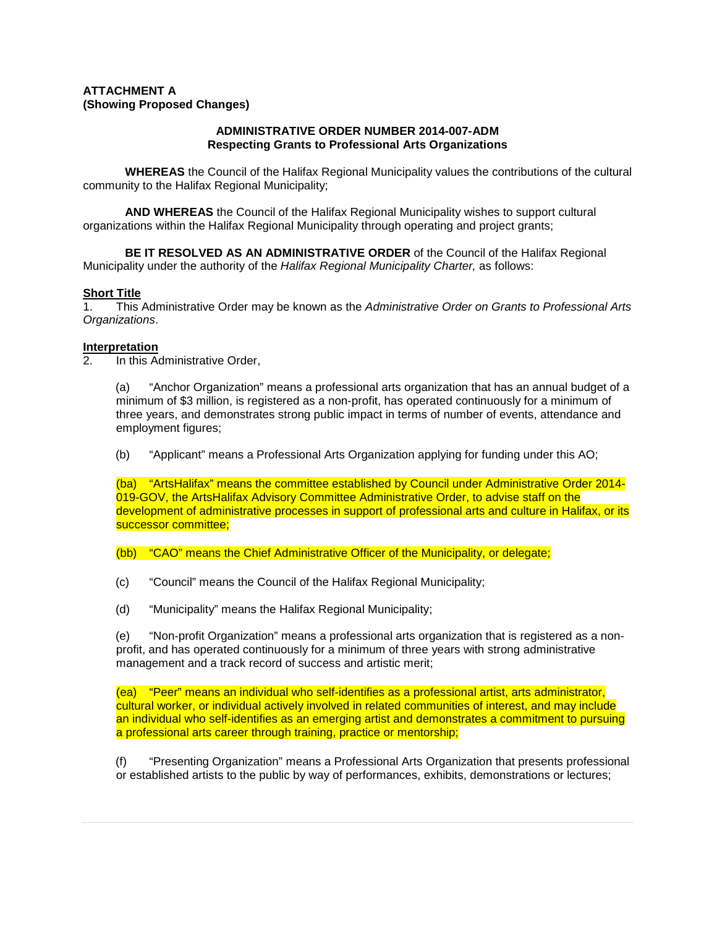## **ATTACHMENT A (Showing Proposed Changes)**

## **ADMINISTRATIVE ORDER NUMBER 2014-007-ADM Respecting Grants to Professional Arts Organizations**

**WHEREAS** the Council of the Halifax Regional Municipality values the contributions of the cultural community to the Halifax Regional Municipality;

**AND WHEREAS** the Council of the Halifax Regional Municipality wishes to support cultural organizations within the Halifax Regional Municipality through operating and project grants;

**BE IT RESOLVED AS AN ADMINISTRATIVE ORDER** of the Council of the Halifax Regional Municipality under the authority of the *Halifax Regional Municipality Charter,* as follows:

## **Short Title**

1. This Administrative Order may be known as the *Administrative Order on Grants to Professional Arts Organizations*.

# **Interpretation**

2. In this Administrative Order,

(a) "Anchor Organization" means a professional arts organization that has an annual budget of a minimum of \$3 million, is registered as a non-profit, has operated continuously for a minimum of three years, and demonstrates strong public impact in terms of number of events, attendance and employment figures;

(b) "Applicant" means a Professional Arts Organization applying for funding under this AO;

(ba) "ArtsHalifax" means the committee established by Council under Administrative Order 2014- 019-GOV, the ArtsHalifax Advisory Committee Administrative Order, to advise staff on the development of administrative processes in support of professional arts and culture in Halifax, or its successor committee;

(bb) "CAO" means the Chief Administrative Officer of the Municipality, or delegate;

- (c) "Council" means the Council of the Halifax Regional Municipality;
- (d) "Municipality" means the Halifax Regional Municipality;

(e) "Non-profit Organization" means a professional arts organization that is registered as a nonprofit, and has operated continuously for a minimum of three years with strong administrative management and a track record of success and artistic merit;

(ea) "Peer" means an individual who self-identifies as a professional artist, arts administrator, cultural worker, or individual actively involved in related communities of interest, and may include an individual who self-identifies as an emerging artist and demonstrates a commitment to pursuing a professional arts career through training, practice or mentorship;

(f) "Presenting Organization" means a Professional Arts Organization that presents professional or established artists to the public by way of performances, exhibits, demonstrations or lectures;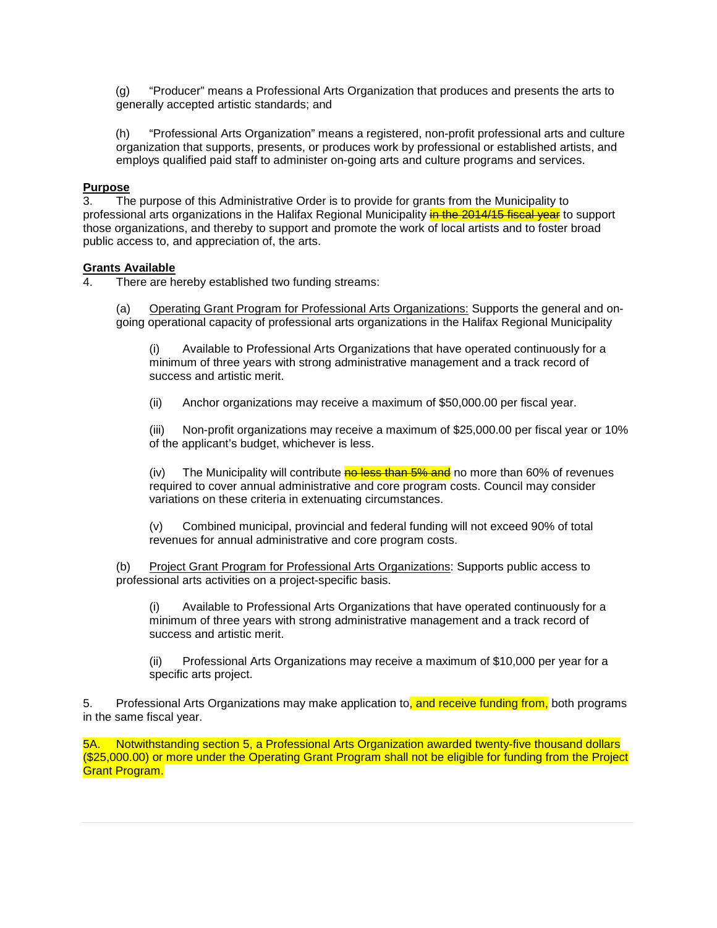(g) "Producer" means a Professional Arts Organization that produces and presents the arts to generally accepted artistic standards; and

(h) "Professional Arts Organization" means a registered, non-profit professional arts and culture organization that supports, presents, or produces work by professional or established artists, and employs qualified paid staff to administer on-going arts and culture programs and services.

# **Purpose**

3. The purpose of this Administrative Order is to provide for grants from the Municipality to professional arts organizations in the Halifax Regional Municipality in the 2014/15 fiscal year to support those organizations, and thereby to support and promote the work of local artists and to foster broad public access to, and appreciation of, the arts.

# **Grants Available**

4. There are hereby established two funding streams:

(a) Operating Grant Program for Professional Arts Organizations: Supports the general and ongoing operational capacity of professional arts organizations in the Halifax Regional Municipality

(i) Available to Professional Arts Organizations that have operated continuously for a minimum of three years with strong administrative management and a track record of success and artistic merit.

(ii) Anchor organizations may receive a maximum of \$50,000.00 per fiscal year.

(iii) Non-profit organizations may receive a maximum of \$25,000.00 per fiscal year or 10% of the applicant's budget, whichever is less.

(iv) The Municipality will contribute  $\frac{1}{100}$  Robert than 5% and no more than 60% of revenues required to cover annual administrative and core program costs. Council may consider variations on these criteria in extenuating circumstances.

(v) Combined municipal, provincial and federal funding will not exceed 90% of total revenues for annual administrative and core program costs.

(b) Project Grant Program for Professional Arts Organizations: Supports public access to professional arts activities on a project-specific basis.

(i) Available to Professional Arts Organizations that have operated continuously for a minimum of three years with strong administrative management and a track record of success and artistic merit.

(ii) Professional Arts Organizations may receive a maximum of \$10,000 per year for a specific arts project.

5. Professional Arts Organizations may make application to, and receive funding from, both programs in the same fiscal year.

5A. Notwithstanding section 5, a Professional Arts Organization awarded twenty-five thousand dollars (\$25,000.00) or more under the Operating Grant Program shall not be eligible for funding from the Project Grant Program.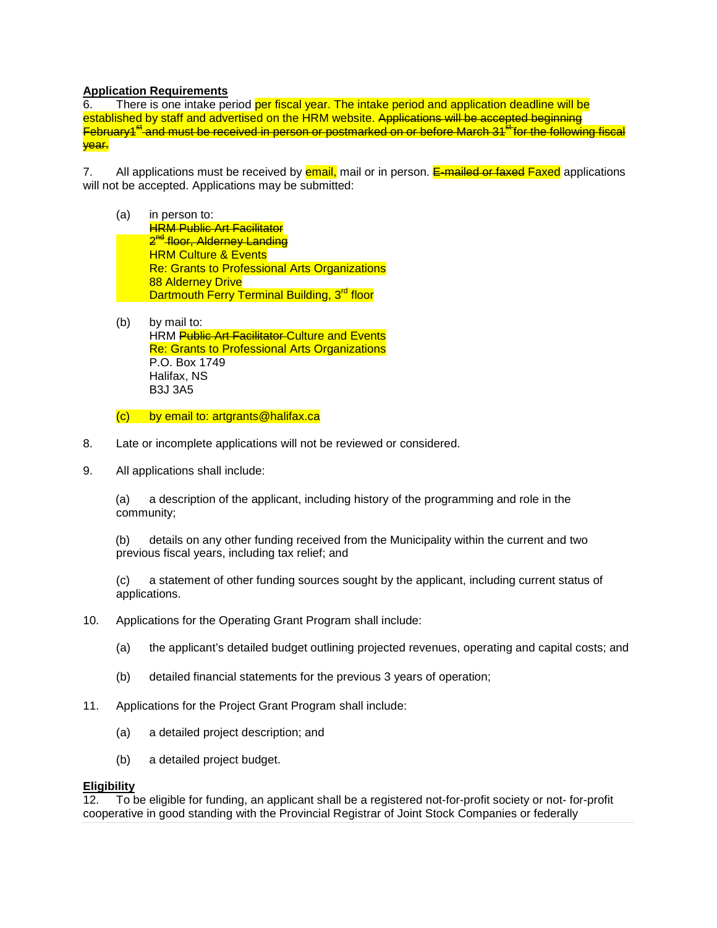# **Application Requirements**

6. There is one intake period per fiscal year. The intake period and application deadline will be established by staff and advertised on the HRM website. Applications will be accepted beginning  $F$ ebruary $4^{st}$  and must be received in person or postmarked on or before March 31 $^{st}$  for the following fiscal year.

7. All applications must be received by **email**, mail or in person. E-mailed or faxed Faxed applications will not be accepted. Applications may be submitted:

- (a) in person to: **HRM Public Art Facilitator** 2<sup>nd</sup> floor, Alderney Landing **HRM Culture & Events** Re: Grants to Professional Arts Organizations 88 Alderney Drive Dartmouth Ferry Terminal Building, 3<sup>rd</sup> floor
- (b) by mail to: HRM Public Art Facilitator Culture and Events Re: Grants to Professional Arts Organizations P.O. Box 1749 Halifax, NS B3J 3A5

(c) by email to: artgrants@halifax.ca

- 8. Late or incomplete applications will not be reviewed or considered.
- 9. All applications shall include:

(a) a description of the applicant, including history of the programming and role in the community;

(b) details on any other funding received from the Municipality within the current and two previous fiscal years, including tax relief; and

(c) a statement of other funding sources sought by the applicant, including current status of applications.

- 10. Applications for the Operating Grant Program shall include:
	- (a) the applicant's detailed budget outlining projected revenues, operating and capital costs; and
	- (b) detailed financial statements for the previous 3 years of operation;
- 11. Applications for the Project Grant Program shall include:
	- (a) a detailed project description; and
	- (b) a detailed project budget.

## **Eligibility**

12. To be eligible for funding, an applicant shall be a registered not-for-profit society or not- for-profit cooperative in good standing with the Provincial Registrar of Joint Stock Companies or federally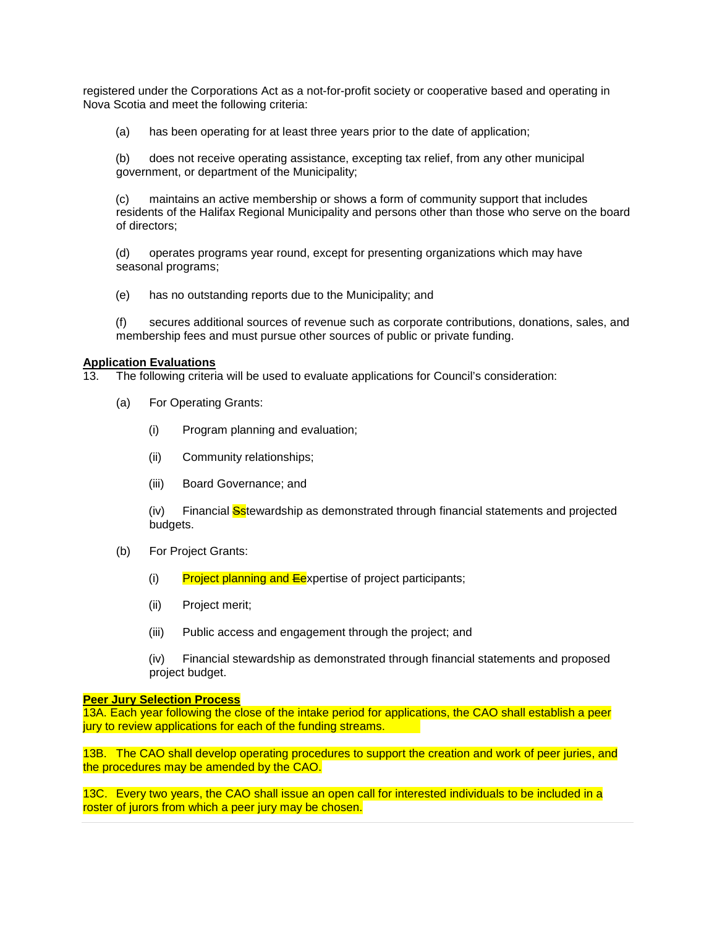registered under the Corporations Act as a not-for-profit society or cooperative based and operating in Nova Scotia and meet the following criteria:

(a) has been operating for at least three years prior to the date of application;

(b) does not receive operating assistance, excepting tax relief, from any other municipal government, or department of the Municipality;

(c) maintains an active membership or shows a form of community support that includes residents of the Halifax Regional Municipality and persons other than those who serve on the board of directors;

(d) operates programs year round, except for presenting organizations which may have seasonal programs;

(e) has no outstanding reports due to the Municipality; and

(f) secures additional sources of revenue such as corporate contributions, donations, sales, and membership fees and must pursue other sources of public or private funding.

## **Application Evaluations**

13. The following criteria will be used to evaluate applications for Council's consideration:

- (a) For Operating Grants:
	- (i) Program planning and evaluation;
	- (ii) Community relationships;
	- (iii) Board Governance; and

(iv) Financial **Sstewardship as demonstrated through financial statements and projected** budgets.

- (b) For Project Grants:
	- (i) Project planning and  $E$ expertise of project participants;
	- (ii) Project merit;
	- (iii) Public access and engagement through the project; and

(iv) Financial stewardship as demonstrated through financial statements and proposed project budget.

## **Peer Jury Selection Process**

13A. Each year following the close of the intake period for applications, the CAO shall establish a peer jury to review applications for each of the funding streams.

13B. The CAO shall develop operating procedures to support the creation and work of peer juries, and the procedures may be amended by the CAO.

13C. Every two years, the CAO shall issue an open call for interested individuals to be included in a roster of jurors from which a peer jury may be chosen.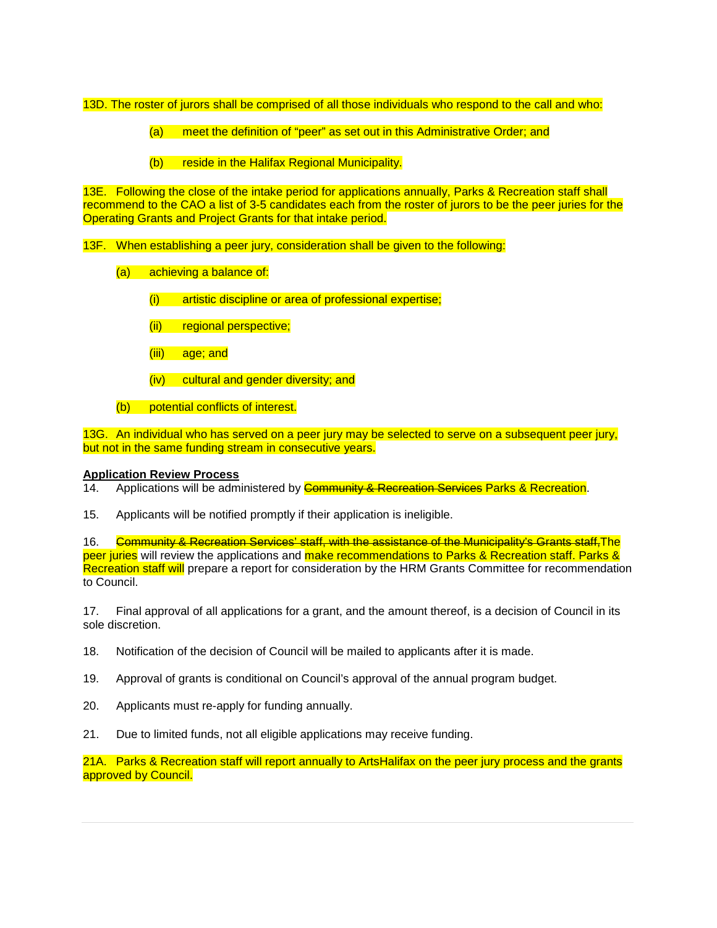13D. The roster of jurors shall be comprised of all those individuals who respond to the call and who:

- (a) meet the definition of "peer" as set out in this Administrative Order; and
- (b) reside in the Halifax Regional Municipality.

13E. Following the close of the intake period for applications annually, Parks & Recreation staff shall recommend to the CAO a list of 3-5 candidates each from the roster of jurors to be the peer juries for the Operating Grants and Project Grants for that intake period.

13F. When establishing a peer jury, consideration shall be given to the following:

- (a) achieving a balance of:
	- (i) artistic discipline or area of professional expertise;
	- (ii) regional perspective;
	- (iii) age; and
	- (iv) cultural and gender diversity; and
- (b) potential conflicts of interest.

13G. An individual who has served on a peer jury may be selected to serve on a subsequent peer jury, but not in the same funding stream in consecutive years.

## **Application Review Process**

14. Applications will be administered by **Community & Recreation Services Parks & Recreation**.

15. Applicants will be notified promptly if their application is ineligible.

16. Community & Recreation Services' staff, with the assistance of the Municipality's Grants staff. The peer juries will review the applications and make recommendations to Parks & Recreation staff. Parks & Recreation staff will prepare a report for consideration by the HRM Grants Committee for recommendation to Council.

17. Final approval of all applications for a grant, and the amount thereof, is a decision of Council in its sole discretion.

- 18. Notification of the decision of Council will be mailed to applicants after it is made.
- 19. Approval of grants is conditional on Council's approval of the annual program budget.
- 20. Applicants must re-apply for funding annually.
- 21. Due to limited funds, not all eligible applications may receive funding.

21A. Parks & Recreation staff will report annually to ArtsHalifax on the peer jury process and the grants approved by Council.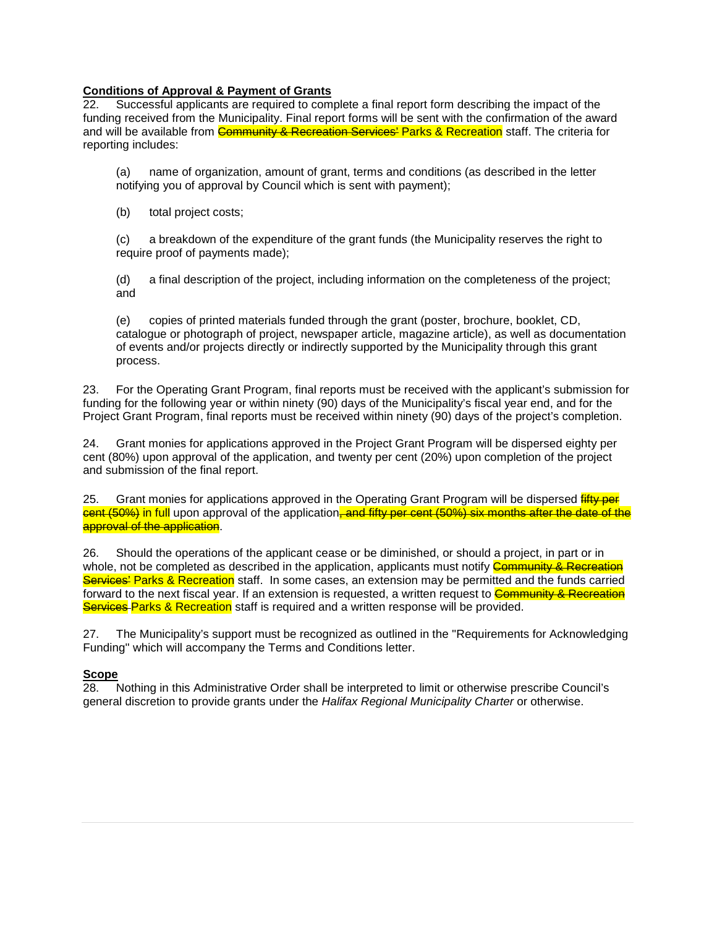# **Conditions of Approval & Payment of Grants**

22. Successful applicants are required to complete a final report form describing the impact of the funding received from the Municipality. Final report forms will be sent with the confirmation of the award and will be available from Community & Recreation Services' Parks & Recreation staff. The criteria for reporting includes:

(a) name of organization, amount of grant, terms and conditions (as described in the letter notifying you of approval by Council which is sent with payment);

(b) total project costs;

(c) a breakdown of the expenditure of the grant funds (the Municipality reserves the right to require proof of payments made);

(d) a final description of the project, including information on the completeness of the project; and

(e) copies of printed materials funded through the grant (poster, brochure, booklet, CD, catalogue or photograph of project, newspaper article, magazine article), as well as documentation of events and/or projects directly or indirectly supported by the Municipality through this grant process.

23. For the Operating Grant Program, final reports must be received with the applicant's submission for funding for the following year or within ninety (90) days of the Municipality's fiscal year end, and for the Project Grant Program, final reports must be received within ninety (90) days of the project's completion.

24. Grant monies for applications approved in the Project Grant Program will be dispersed eighty per cent (80%) upon approval of the application, and twenty per cent (20%) upon completion of the project and submission of the final report.

25. Grant monies for applications approved in the Operating Grant Program will be dispersed *fifty per* cent (50%) in full upon approval of the application, and fifty per cent (50%) six months after the date of the approval of the application.

26. Should the operations of the applicant cease or be diminished, or should a project, in part or in whole, not be completed as described in the application, applicants must notify **Community & Recreation** Services' Parks & Recreation staff. In some cases, an extension may be permitted and the funds carried forward to the next fiscal year. If an extension is requested, a written request to **Community & Recreation Services Parks & Recreation** staff is required and a written response will be provided.

27. The Municipality's support must be recognized as outlined in the ''Requirements for Acknowledging Funding'' which will accompany the Terms and Conditions letter.

# **Scope**

28. Nothing in this Administrative Order shall be interpreted to limit or otherwise prescribe Council's general discretion to provide grants under the *Halifax Regional Municipality Charter* or otherwise.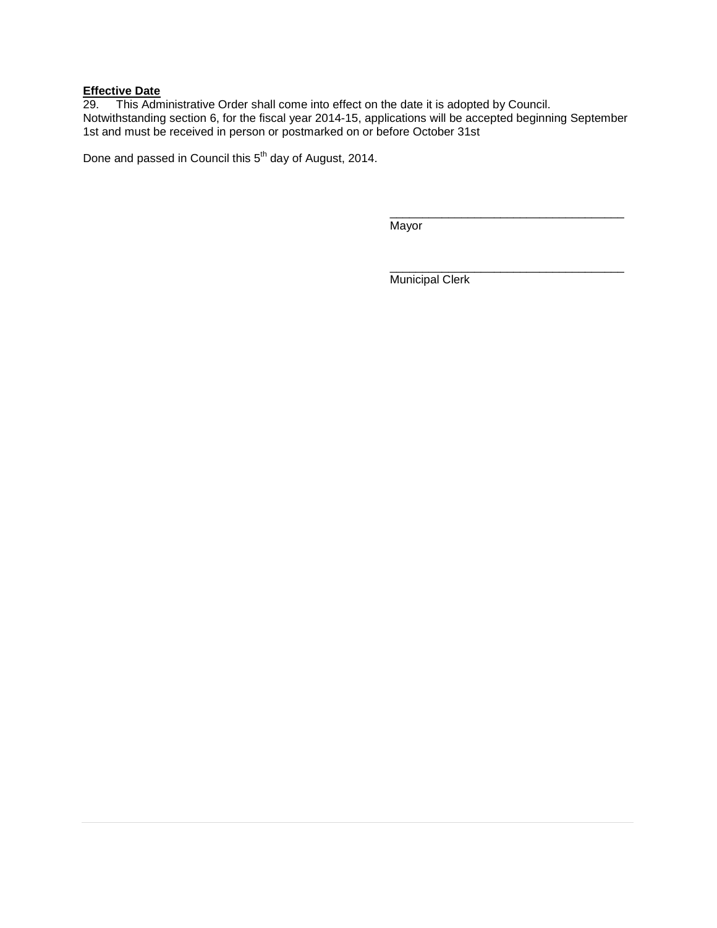# **Effective Date**

29. This Administrative Order shall come into effect on the date it is adopted by Council. Notwithstanding section 6, for the fiscal year 2014-15, applications will be accepted beginning September 1st and must be received in person or postmarked on or before October 31st

Done and passed in Council this 5<sup>th</sup> day of August, 2014.

Mayor

\_\_\_\_\_\_\_\_\_\_\_\_\_\_\_\_\_\_\_\_\_\_\_\_\_\_\_\_\_\_\_\_\_\_\_\_ Municipal Clerk

\_\_\_\_\_\_\_\_\_\_\_\_\_\_\_\_\_\_\_\_\_\_\_\_\_\_\_\_\_\_\_\_\_\_\_\_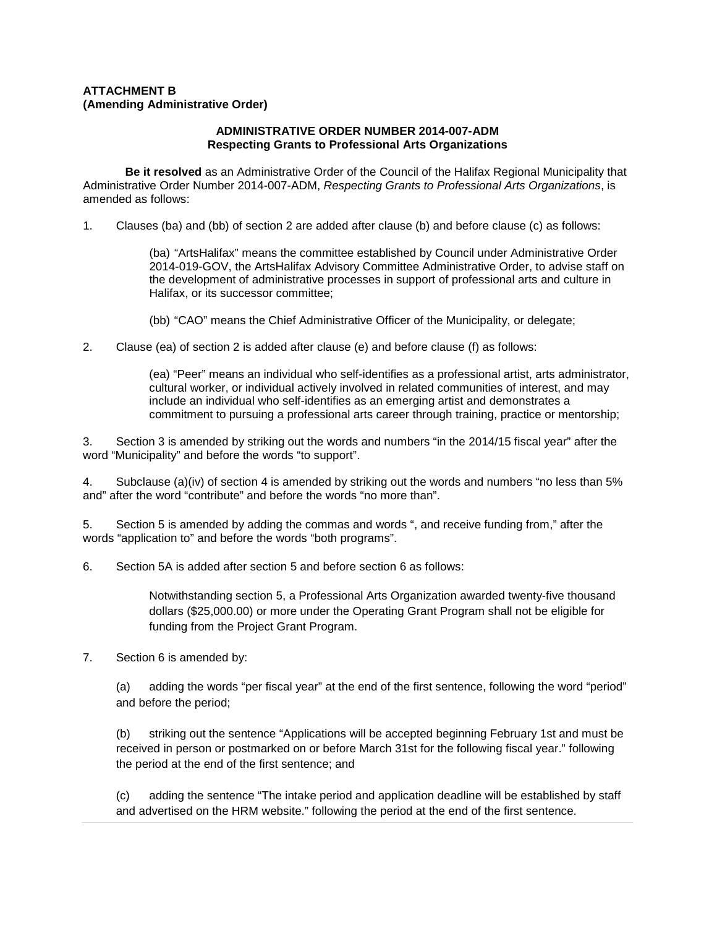# **ATTACHMENT B (Amending Administrative Order)**

## **ADMINISTRATIVE ORDER NUMBER 2014-007-ADM Respecting Grants to Professional Arts Organizations**

**Be it resolved** as an Administrative Order of the Council of the Halifax Regional Municipality that Administrative Order Number 2014-007-ADM, *Respecting Grants to Professional Arts Organizations*, is amended as follows:

1. Clauses (ba) and (bb) of section 2 are added after clause (b) and before clause (c) as follows:

(ba) "ArtsHalifax" means the committee established by Council under Administrative Order 2014-019-GOV, the ArtsHalifax Advisory Committee Administrative Order, to advise staff on the development of administrative processes in support of professional arts and culture in Halifax, or its successor committee;

(bb) "CAO" means the Chief Administrative Officer of the Municipality, or delegate;

2. Clause (ea) of section 2 is added after clause (e) and before clause (f) as follows:

(ea) "Peer" means an individual who self-identifies as a professional artist, arts administrator, cultural worker, or individual actively involved in related communities of interest, and may include an individual who self-identifies as an emerging artist and demonstrates a commitment to pursuing a professional arts career through training, practice or mentorship;

3. Section 3 is amended by striking out the words and numbers "in the 2014/15 fiscal year" after the word "Municipality" and before the words "to support".

4. Subclause (a)(iv) of section 4 is amended by striking out the words and numbers "no less than 5% and" after the word "contribute" and before the words "no more than".

5. Section 5 is amended by adding the commas and words ", and receive funding from," after the words "application to" and before the words "both programs".

6. Section 5A is added after section 5 and before section 6 as follows:

Notwithstanding section 5, a Professional Arts Organization awarded twenty-five thousand dollars (\$25,000.00) or more under the Operating Grant Program shall not be eligible for funding from the Project Grant Program.

7. Section 6 is amended by:

(a) adding the words "per fiscal year" at the end of the first sentence, following the word "period" and before the period;

(b) striking out the sentence "Applications will be accepted beginning February 1st and must be received in person or postmarked on or before March 31st for the following fiscal year." following the period at the end of the first sentence; and

(c) adding the sentence "The intake period and application deadline will be established by staff and advertised on the HRM website." following the period at the end of the first sentence.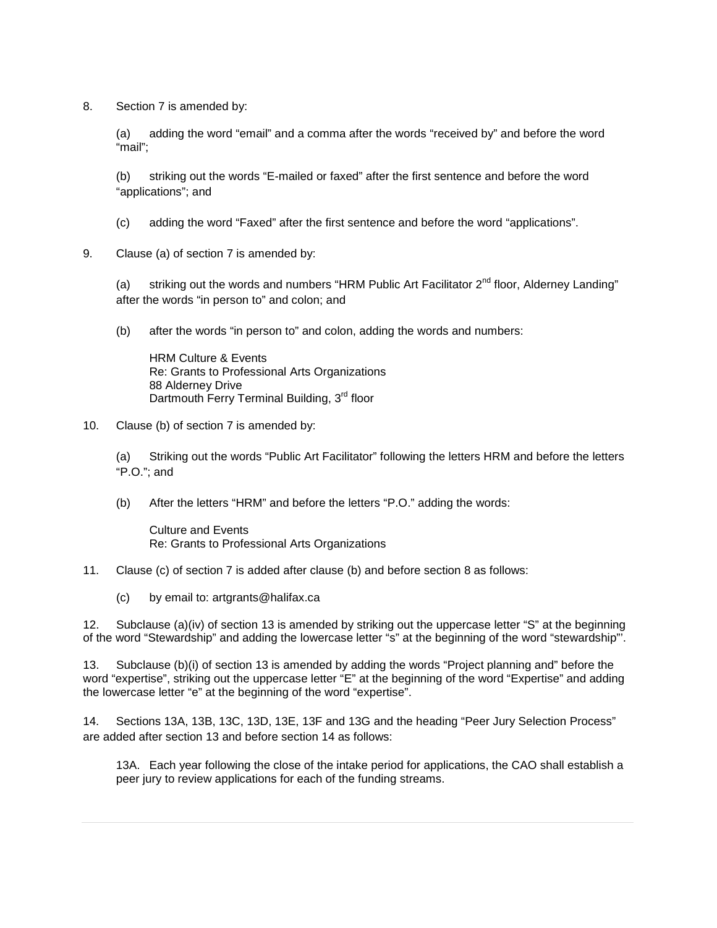8. Section 7 is amended by:

(a) adding the word "email" and a comma after the words "received by" and before the word "mail";

(b) striking out the words "E-mailed or faxed" after the first sentence and before the word "applications"; and

(c) adding the word "Faxed" after the first sentence and before the word "applications".

9. Clause (a) of section 7 is amended by:

(a) striking out the words and numbers "HRM Public Art Facilitator  $2^{nd}$  floor, Alderney Landing" after the words "in person to" and colon; and

(b) after the words "in person to" and colon, adding the words and numbers:

HRM Culture & Events Re: Grants to Professional Arts Organizations 88 Alderney Drive Dartmouth Ferry Terminal Building, 3<sup>rd</sup> floor

10. Clause (b) of section 7 is amended by:

(a) Striking out the words "Public Art Facilitator" following the letters HRM and before the letters "P.O."; and

(b) After the letters "HRM" and before the letters "P.O." adding the words:

Culture and Events Re: Grants to Professional Arts Organizations

#### 11. Clause (c) of section 7 is added after clause (b) and before section 8 as follows:

(c) by email to: artgrants@halifax.ca

12. Subclause (a)(iv) of section 13 is amended by striking out the uppercase letter "S" at the beginning of the word "Stewardship" and adding the lowercase letter "s" at the beginning of the word "stewardship"'.

13. Subclause (b)(i) of section 13 is amended by adding the words "Project planning and" before the word "expertise", striking out the uppercase letter "E" at the beginning of the word "Expertise" and adding the lowercase letter "e" at the beginning of the word "expertise".

14. Sections 13A, 13B, 13C, 13D, 13E, 13F and 13G and the heading "Peer Jury Selection Process" are added after section 13 and before section 14 as follows:

13A. Each year following the close of the intake period for applications, the CAO shall establish a peer jury to review applications for each of the funding streams.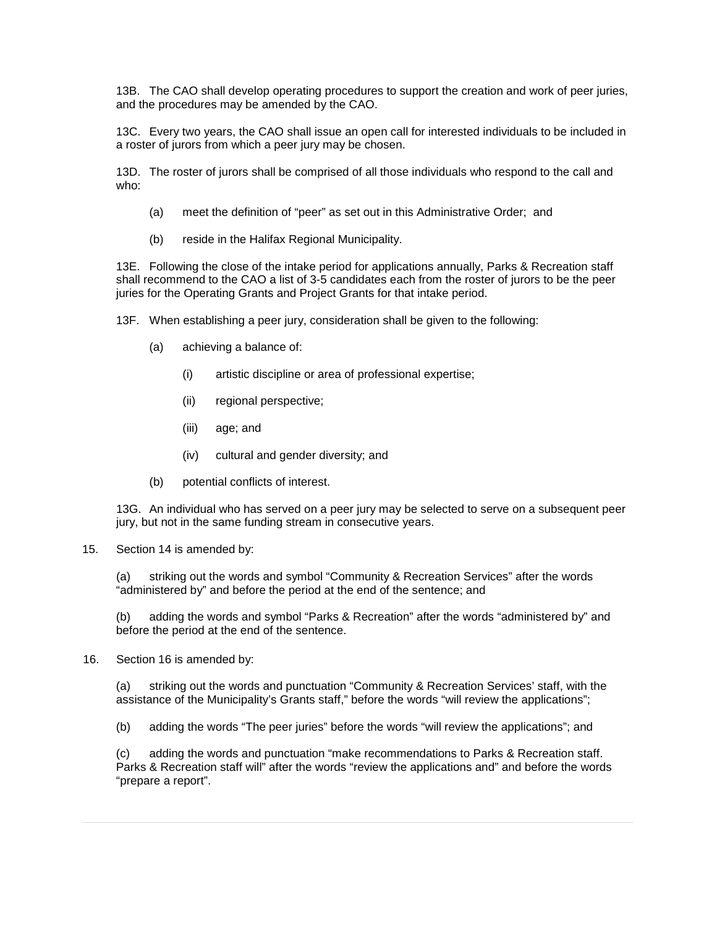13B. The CAO shall develop operating procedures to support the creation and work of peer juries, and the procedures may be amended by the CAO.

13C. Every two years, the CAO shall issue an open call for interested individuals to be included in a roster of jurors from which a peer jury may be chosen.

13D. The roster of jurors shall be comprised of all those individuals who respond to the call and who:

- (a) meet the definition of "peer" as set out in this Administrative Order; and
- (b) reside in the Halifax Regional Municipality.

13E. Following the close of the intake period for applications annually, Parks & Recreation staff shall recommend to the CAO a list of 3-5 candidates each from the roster of jurors to be the peer juries for the Operating Grants and Project Grants for that intake period.

13F. When establishing a peer jury, consideration shall be given to the following:

- (a) achieving a balance of:
	- (i) artistic discipline or area of professional expertise;
	- (ii) regional perspective;
	- (iii) age; and
	- (iv) cultural and gender diversity; and
- (b) potential conflicts of interest.

13G. An individual who has served on a peer jury may be selected to serve on a subsequent peer jury, but not in the same funding stream in consecutive years.

15. Section 14 is amended by:

(a) striking out the words and symbol "Community & Recreation Services" after the words "administered by" and before the period at the end of the sentence; and

(b) adding the words and symbol "Parks & Recreation" after the words "administered by" and before the period at the end of the sentence.

16. Section 16 is amended by:

(a) striking out the words and punctuation "Community & Recreation Services' staff, with the assistance of the Municipality's Grants staff," before the words "will review the applications";

(b) adding the words "The peer juries" before the words "will review the applications"; and

(c) adding the words and punctuation "make recommendations to Parks & Recreation staff. Parks & Recreation staff will" after the words "review the applications and" and before the words "prepare a report".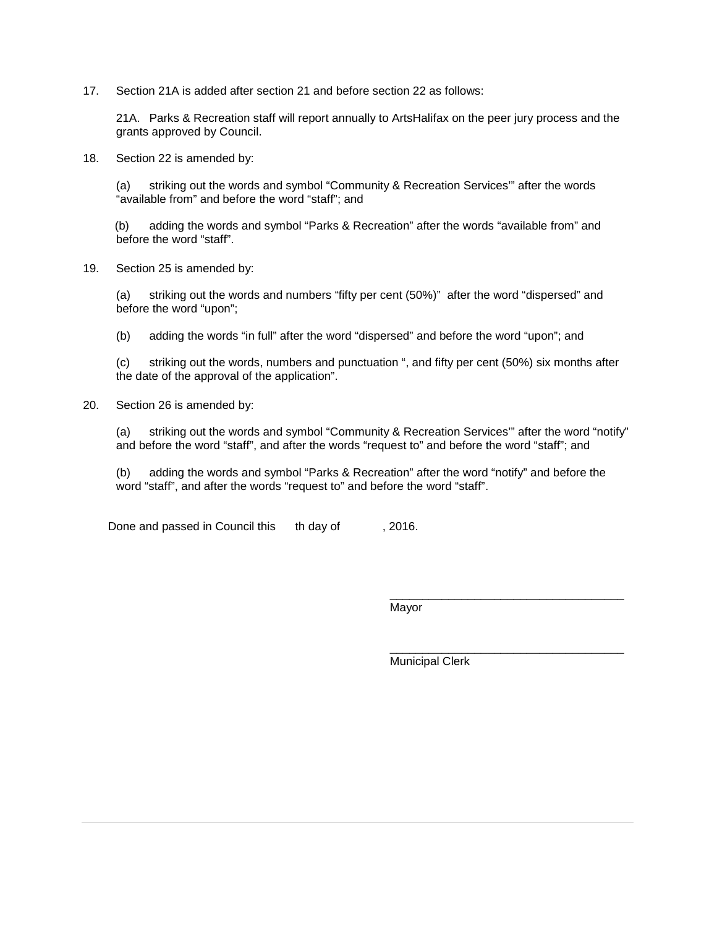17. Section 21A is added after section 21 and before section 22 as follows:

21A. Parks & Recreation staff will report annually to ArtsHalifax on the peer jury process and the grants approved by Council.

18. Section 22 is amended by:

(a) striking out the words and symbol "Community & Recreation Services'" after the words "available from" and before the word "staff"; and

(b) adding the words and symbol "Parks & Recreation" after the words "available from" and before the word "staff".

19. Section 25 is amended by:

(a) striking out the words and numbers "fifty per cent (50%)" after the word "dispersed" and before the word "upon";

(b) adding the words "in full" after the word "dispersed" and before the word "upon"; and

(c) striking out the words, numbers and punctuation ", and fifty per cent (50%) six months after the date of the approval of the application".

20. Section 26 is amended by:

(a) striking out the words and symbol "Community & Recreation Services'" after the word "notify" and before the word "staff", and after the words "request to" and before the word "staff"; and

(b) adding the words and symbol "Parks & Recreation" after the word "notify" and before the word "staff", and after the words "request to" and before the word "staff".

Done and passed in Council this th day of , 2016.

Mayor

Municipal Clerk

\_\_\_\_\_\_\_\_\_\_\_\_\_\_\_\_\_\_\_\_\_\_\_\_\_\_\_\_\_\_\_\_\_\_\_\_

\_\_\_\_\_\_\_\_\_\_\_\_\_\_\_\_\_\_\_\_\_\_\_\_\_\_\_\_\_\_\_\_\_\_\_\_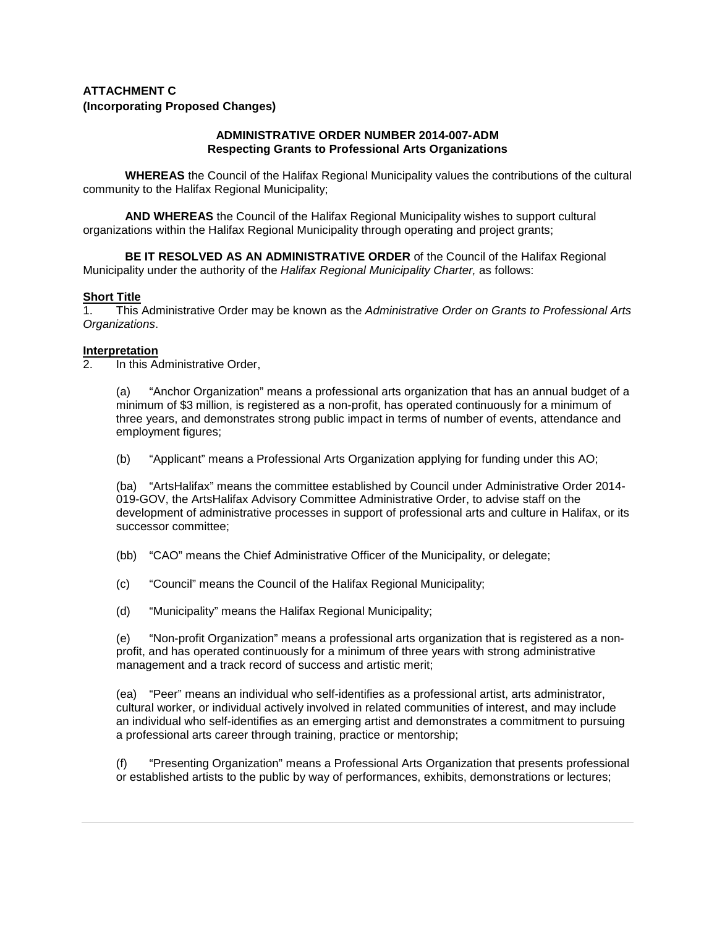# **ATTACHMENT C (Incorporating Proposed Changes)**

## **ADMINISTRATIVE ORDER NUMBER 2014-007-ADM Respecting Grants to Professional Arts Organizations**

**WHEREAS** the Council of the Halifax Regional Municipality values the contributions of the cultural community to the Halifax Regional Municipality;

**AND WHEREAS** the Council of the Halifax Regional Municipality wishes to support cultural organizations within the Halifax Regional Municipality through operating and project grants;

**BE IT RESOLVED AS AN ADMINISTRATIVE ORDER** of the Council of the Halifax Regional Municipality under the authority of the *Halifax Regional Municipality Charter,* as follows:

# **Short Title**

1. This Administrative Order may be known as the *Administrative Order on Grants to Professional Arts Organizations*.

## **Interpretation**

2. In this Administrative Order,

(a) "Anchor Organization" means a professional arts organization that has an annual budget of a minimum of \$3 million, is registered as a non-profit, has operated continuously for a minimum of three years, and demonstrates strong public impact in terms of number of events, attendance and employment figures;

(b) "Applicant" means a Professional Arts Organization applying for funding under this AO;

(ba) "ArtsHalifax" means the committee established by Council under Administrative Order 2014- 019-GOV, the ArtsHalifax Advisory Committee Administrative Order, to advise staff on the development of administrative processes in support of professional arts and culture in Halifax, or its successor committee;

(bb) "CAO" means the Chief Administrative Officer of the Municipality, or delegate;

(c) "Council" means the Council of the Halifax Regional Municipality;

(d) "Municipality" means the Halifax Regional Municipality;

(e) "Non-profit Organization" means a professional arts organization that is registered as a nonprofit, and has operated continuously for a minimum of three years with strong administrative management and a track record of success and artistic merit;

(ea) "Peer" means an individual who self-identifies as a professional artist, arts administrator, cultural worker, or individual actively involved in related communities of interest, and may include an individual who self-identifies as an emerging artist and demonstrates a commitment to pursuing a professional arts career through training, practice or mentorship;

(f) "Presenting Organization" means a Professional Arts Organization that presents professional or established artists to the public by way of performances, exhibits, demonstrations or lectures;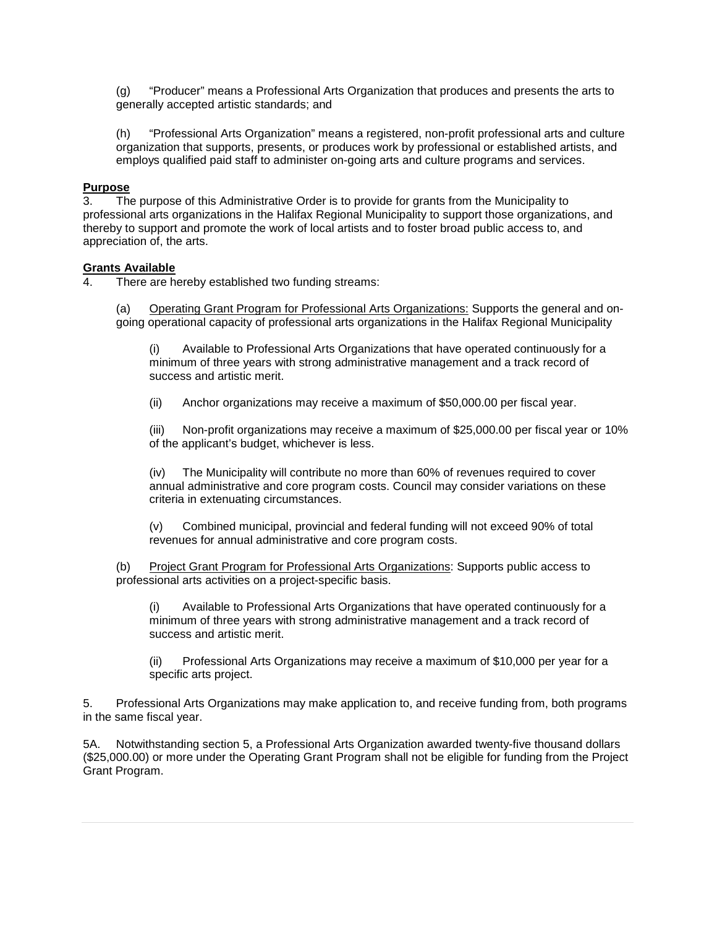(g) "Producer" means a Professional Arts Organization that produces and presents the arts to generally accepted artistic standards; and

(h) "Professional Arts Organization" means a registered, non-profit professional arts and culture organization that supports, presents, or produces work by professional or established artists, and employs qualified paid staff to administer on-going arts and culture programs and services.

## **Purpose**

3. The purpose of this Administrative Order is to provide for grants from the Municipality to professional arts organizations in the Halifax Regional Municipality to support those organizations, and thereby to support and promote the work of local artists and to foster broad public access to, and appreciation of, the arts.

# **Grants Available**

There are hereby established two funding streams:

(a) Operating Grant Program for Professional Arts Organizations: Supports the general and ongoing operational capacity of professional arts organizations in the Halifax Regional Municipality

(i) Available to Professional Arts Organizations that have operated continuously for a minimum of three years with strong administrative management and a track record of success and artistic merit.

(ii) Anchor organizations may receive a maximum of \$50,000.00 per fiscal year.

(iii) Non-profit organizations may receive a maximum of \$25,000.00 per fiscal year or 10% of the applicant's budget, whichever is less.

(iv) The Municipality will contribute no more than 60% of revenues required to cover annual administrative and core program costs. Council may consider variations on these criteria in extenuating circumstances.

(v) Combined municipal, provincial and federal funding will not exceed 90% of total revenues for annual administrative and core program costs.

(b) Project Grant Program for Professional Arts Organizations: Supports public access to professional arts activities on a project-specific basis.

(i) Available to Professional Arts Organizations that have operated continuously for a minimum of three years with strong administrative management and a track record of success and artistic merit.

(ii) Professional Arts Organizations may receive a maximum of \$10,000 per year for a specific arts project.

5. Professional Arts Organizations may make application to, and receive funding from, both programs in the same fiscal year.

5A. Notwithstanding section 5, a Professional Arts Organization awarded twenty-five thousand dollars (\$25,000.00) or more under the Operating Grant Program shall not be eligible for funding from the Project Grant Program.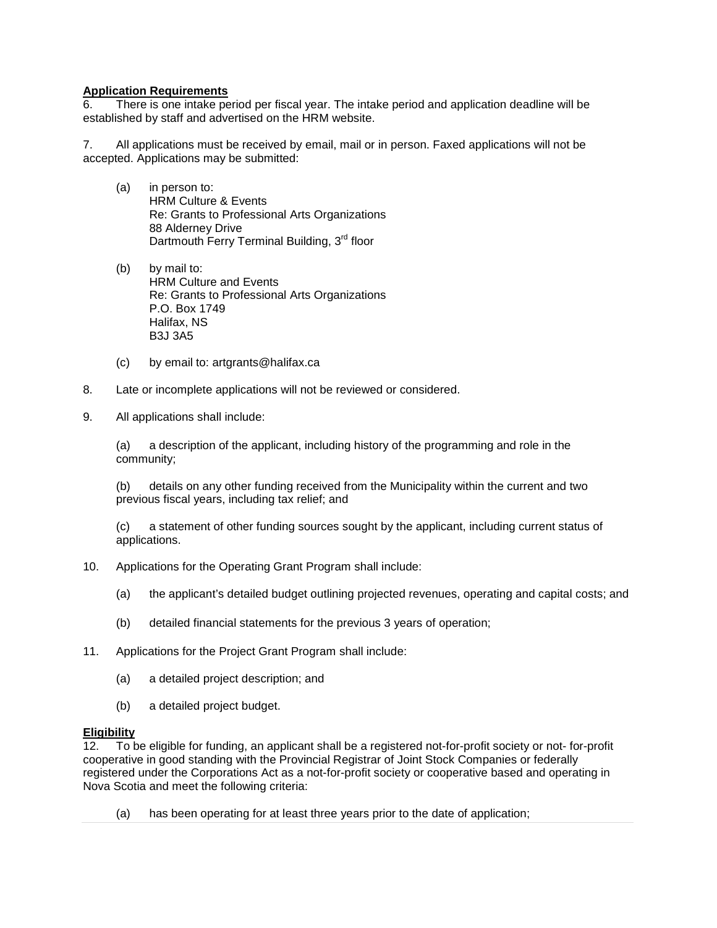# **Application Requirements**

6. There is one intake period per fiscal year. The intake period and application deadline will be established by staff and advertised on the HRM website.

7. All applications must be received by email, mail or in person. Faxed applications will not be accepted. Applications may be submitted:

- (a) in person to: HRM Culture & Events Re: Grants to Professional Arts Organizations 88 Alderney Drive Dartmouth Ferry Terminal Building, 3<sup>rd</sup> floor
- (b) by mail to: HRM Culture and Events Re: Grants to Professional Arts Organizations P.O. Box 1749 Halifax, NS B3J 3A5
- (c) by email to: artgrants@halifax.ca
- 8. Late or incomplete applications will not be reviewed or considered.
- 9. All applications shall include:

(a) a description of the applicant, including history of the programming and role in the community;

(b) details on any other funding received from the Municipality within the current and two previous fiscal years, including tax relief; and

(c) a statement of other funding sources sought by the applicant, including current status of applications.

- 10. Applications for the Operating Grant Program shall include:
	- (a) the applicant's detailed budget outlining projected revenues, operating and capital costs; and
	- (b) detailed financial statements for the previous 3 years of operation;
- 11. Applications for the Project Grant Program shall include:
	- (a) a detailed project description; and
	- (b) a detailed project budget.

## **Eligibility**

12. To be eligible for funding, an applicant shall be a registered not-for-profit society or not- for-profit cooperative in good standing with the Provincial Registrar of Joint Stock Companies or federally registered under the Corporations Act as a not-for-profit society or cooperative based and operating in Nova Scotia and meet the following criteria:

(a) has been operating for at least three years prior to the date of application;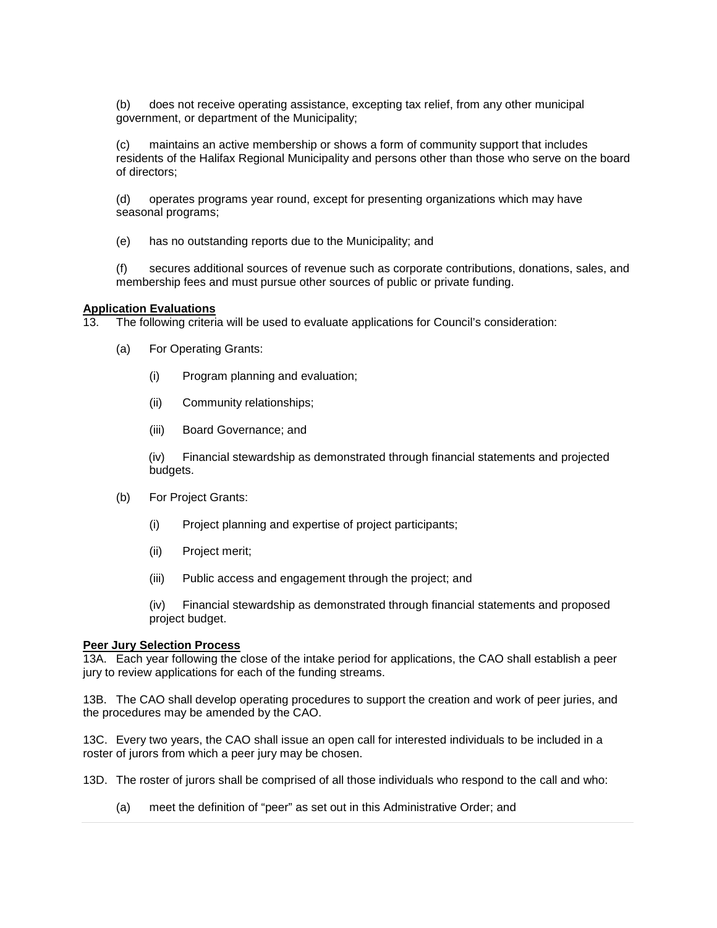(b) does not receive operating assistance, excepting tax relief, from any other municipal government, or department of the Municipality;

(c) maintains an active membership or shows a form of community support that includes residents of the Halifax Regional Municipality and persons other than those who serve on the board of directors;

(d) operates programs year round, except for presenting organizations which may have seasonal programs;

(e) has no outstanding reports due to the Municipality; and

(f) secures additional sources of revenue such as corporate contributions, donations, sales, and membership fees and must pursue other sources of public or private funding.

# **Application Evaluations**

13. The following criteria will be used to evaluate applications for Council's consideration:

- (a) For Operating Grants:
	- (i) Program planning and evaluation;
	- (ii) Community relationships;
	- (iii) Board Governance; and

(iv) Financial stewardship as demonstrated through financial statements and projected budgets.

- (b) For Project Grants:
	- (i) Project planning and expertise of project participants;
	- (ii) Project merit;
	- (iii) Public access and engagement through the project; and

(iv) Financial stewardship as demonstrated through financial statements and proposed project budget.

#### **Peer Jury Selection Process**

13A. Each year following the close of the intake period for applications, the CAO shall establish a peer jury to review applications for each of the funding streams.

13B. The CAO shall develop operating procedures to support the creation and work of peer juries, and the procedures may be amended by the CAO.

13C. Every two years, the CAO shall issue an open call for interested individuals to be included in a roster of jurors from which a peer jury may be chosen.

- 13D. The roster of jurors shall be comprised of all those individuals who respond to the call and who:
	- (a) meet the definition of "peer" as set out in this Administrative Order; and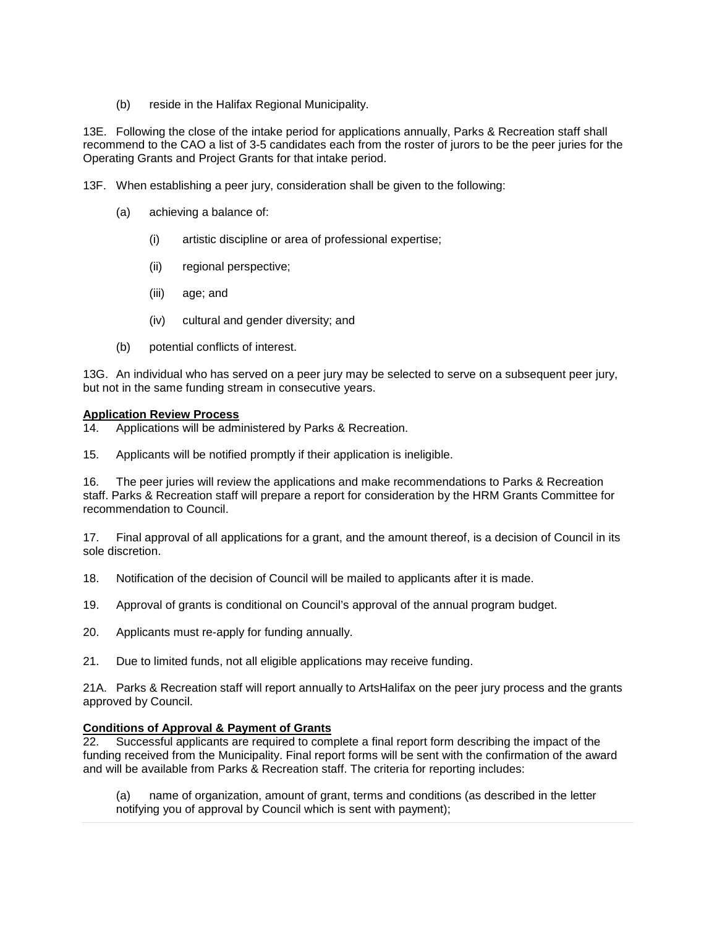(b) reside in the Halifax Regional Municipality.

13E. Following the close of the intake period for applications annually, Parks & Recreation staff shall recommend to the CAO a list of 3-5 candidates each from the roster of jurors to be the peer juries for the Operating Grants and Project Grants for that intake period.

13F. When establishing a peer jury, consideration shall be given to the following:

- (a) achieving a balance of:
	- (i) artistic discipline or area of professional expertise;
	- (ii) regional perspective;
	- (iii) age; and
	- (iv) cultural and gender diversity; and
- (b) potential conflicts of interest.

13G. An individual who has served on a peer jury may be selected to serve on a subsequent peer jury, but not in the same funding stream in consecutive years.

## **Application Review Process**

14. Applications will be administered by Parks & Recreation.

15. Applicants will be notified promptly if their application is ineligible.

16. The peer juries will review the applications and make recommendations to Parks & Recreation staff. Parks & Recreation staff will prepare a report for consideration by the HRM Grants Committee for recommendation to Council.

17. Final approval of all applications for a grant, and the amount thereof, is a decision of Council in its sole discretion.

- 18. Notification of the decision of Council will be mailed to applicants after it is made.
- 19. Approval of grants is conditional on Council's approval of the annual program budget.
- 20. Applicants must re-apply for funding annually.
- 21. Due to limited funds, not all eligible applications may receive funding.

21A. Parks & Recreation staff will report annually to ArtsHalifax on the peer jury process and the grants approved by Council.

## **Conditions of Approval & Payment of Grants**

22. Successful applicants are required to complete a final report form describing the impact of the funding received from the Municipality. Final report forms will be sent with the confirmation of the award and will be available from Parks & Recreation staff. The criteria for reporting includes:

(a) name of organization, amount of grant, terms and conditions (as described in the letter notifying you of approval by Council which is sent with payment);